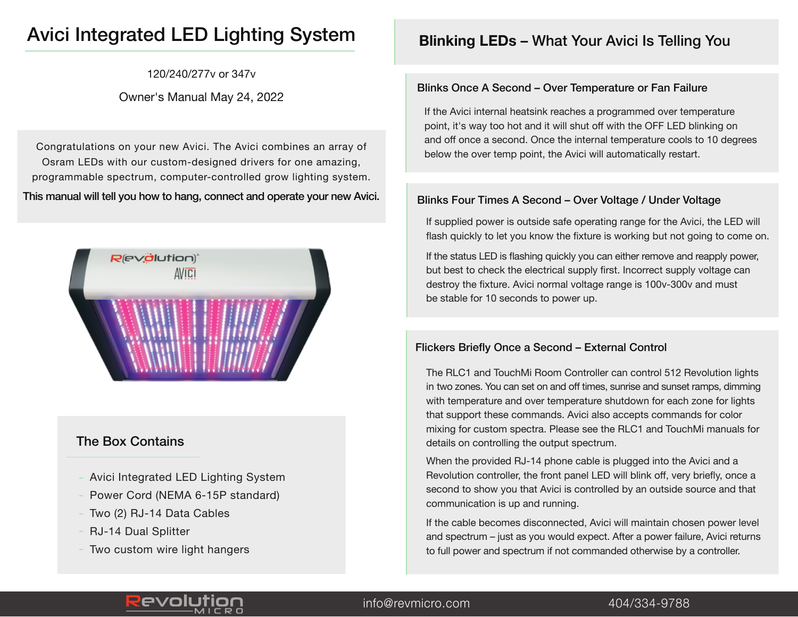# Avici Integrated LED Lighting System

120/240/277v or 347v

### Owner's Manual May 24, 2022

Congratulations on your new Avici. The Avici combines an array of Osram LEDs with our custom-designed drivers for one amazing, programmable spectrum, computer-controlled grow lighting system. This manual will tell you how to hang, connect and operate your new Avici.



### The Box Contains

- Avici Integrated LED Lighting System
- Power Cord (NEMA 6-15P standard)
- Two (2) RJ-14 Data Cables
- RJ-14 Dual Splitter
- Two custom wire light hangers

## **Blinking LEDs** – What Your Avici Is Telling You

### Blinks Once A Second – Over Temperature or Fan Failure

If the Avici internal heatsink reaches a programmed over temperature point, it's way too hot and it will shut off with the OFF LED blinking on and off once a second. Once the internal temperature cools to 10 degrees below the over temp point, the Avici will automatically restart.

### Blinks Four Times A Second – Over Voltage / Under Voltage

If supplied power is outside safe operating range for the Avici, the LED will flash quickly to let you know the fixture is working but not going to come on.

If the status LED is flashing quickly you can either remove and reapply power, but best to check the electrical supply first. Incorrect supply voltage can destroy the fixture. Avici normal voltage range is 100v-300v and must be stable for 10 seconds to power up.

### Flickers Briefly Once a Second – External Control

The RLC1 and TouchMi Room Controller can control 512 Revolution lights in two zones. You can set on and off times, sunrise and sunset ramps, dimming with temperature and over temperature shutdown for each zone for lights that support these commands. Avici also accepts commands for color mixing for custom spectra. Please see the RLC1 and TouchMi manuals for details on controlling the output spectrum.

When the provided RJ-14 phone cable is plugged into the Avici and a Revolution controller, the front panel LED will blink off, very briefly, once a second to show you that Avici is controlled by an outside source and that communication is up and running.

If the cable becomes disconnected, Avici will maintain chosen power level and spectrum – just as you would expect. After a power failure, Avici returns to full power and spectrum if not commanded otherwise by a controller.



### info@revmicro.com 404/334-9788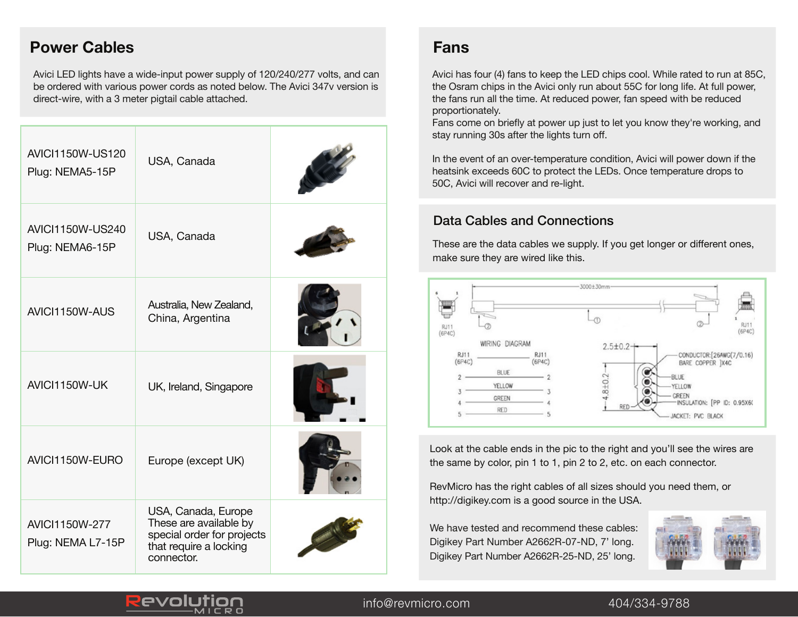## **Power Cables Fans**

Avici LED lights have a wide-input power supply of 120/240/277 volts, and can be ordered with various power cords as noted below. The Avici 347v version is direct-wire, with a 3 meter pigtail cable attached.

| <b>AVICI1150W-US120</b><br>Plug: NEMA5-15P | USA, Canada                                                                                                         |  |
|--------------------------------------------|---------------------------------------------------------------------------------------------------------------------|--|
| AVIC1150W-US240<br>Plug: NEMA6-15P         | USA, Canada                                                                                                         |  |
| AVICI1150W-AUS                             | Australia, New Zealand,<br>China, Argentina                                                                         |  |
| AVICI1150W-UK                              | UK, Ireland, Singapore                                                                                              |  |
| AVICI1150W-EURO                            | Europe (except UK)                                                                                                  |  |
| AVIC11150W-277<br>Plug: NEMA L7-15P        | USA, Canada, Europe<br>These are available by<br>special order for projects<br>that require a locking<br>connector. |  |

Revo

Avici has four (4) fans to keep the LED chips cool. While rated to run at 85C, the Osram chips in the Avici only run about 55C for long life. At full power, the fans run all the time. At reduced power, fan speed with be reduced proportionately.

Fans come on briefly at power up just to let you know they're working, and stay running 30s after the lights turn off.

In the event of an over-temperature condition, Avici will power down if the heatsink exceeds 60C to protect the LEDs. Once temperature drops to 50C, Avici will recover and re-light.

### Data Cables and Connections

These are the data cables we supply. If you get longer or different ones, make sure they are wired like this.



Look at the cable ends in the pic to the right and you'll see the wires are the same by color, pin 1 to 1, pin 2 to 2, etc. on each connector.

RevMicro has the right cables of all sizes should you need them, or http://digikey.com is a good source in the USA.

We have tested and recommend these cables: Digikey Part Number A2662R-07-ND, 7' long. Digikey Part Number A2662R-25-ND, 25' long.



### info@revmicro.com info@revmicro.com 404/334-9788 404/334-9788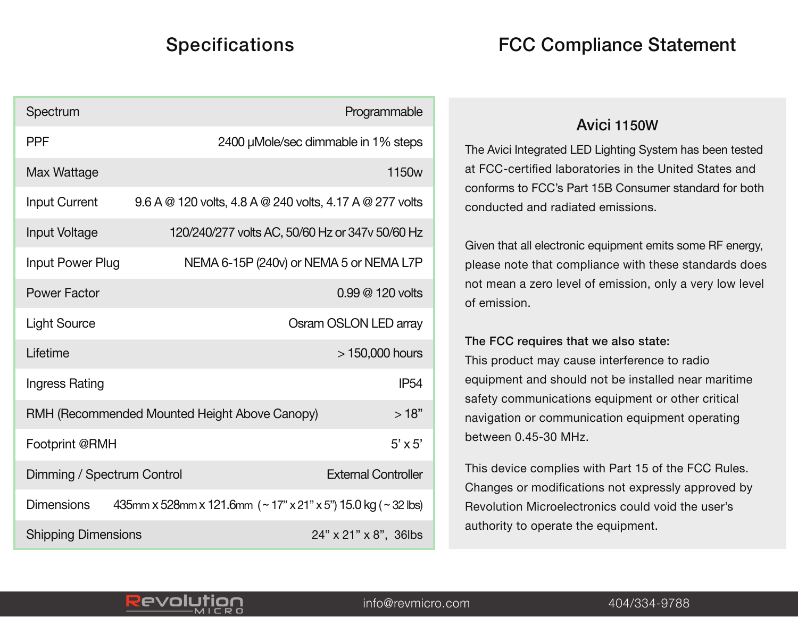# **Specifications**

|  |  |  | <b>FCC Compliance Statement</b> |  |
|--|--|--|---------------------------------|--|
|--|--|--|---------------------------------|--|

| Spectrum                                                 | Programmable                                                        |  |  |
|----------------------------------------------------------|---------------------------------------------------------------------|--|--|
| <b>PPF</b>                                               | 2400 µMole/sec dimmable in 1% steps                                 |  |  |
| Max Wattage                                              | 1150 <sub>w</sub>                                                   |  |  |
| <b>Input Current</b>                                     | 9.6 A @ 120 volts, 4.8 A @ 240 volts, 4.17 A @ 277 volts            |  |  |
| Input Voltage                                            | 120/240/277 volts AC, 50/60 Hz or 347v 50/60 Hz                     |  |  |
| Input Power Plug                                         | NEMA 6-15P (240v) or NEMA 5 or NEMA L7P                             |  |  |
| <b>Power Factor</b>                                      | 0.99 @ 120 volts                                                    |  |  |
| <b>Light Source</b>                                      | Osram OSLON LED array                                               |  |  |
| Lifetime                                                 | > 150,000 hours                                                     |  |  |
| Ingress Rating                                           | <b>IP54</b>                                                         |  |  |
| >18"<br>RMH (Recommended Mounted Height Above Canopy)    |                                                                     |  |  |
| $5' \times 5'$<br>Footprint @RMH                         |                                                                     |  |  |
| <b>External Controller</b><br>Dimming / Spectrum Control |                                                                     |  |  |
| <b>Dimensions</b>                                        | 435mm x 528mm x 121.6mm $($ ~ 17" x 21" x 5") 15.0 kg $($ ~ 32 lbs) |  |  |
| <b>Shipping Dimensions</b><br>24" x 21" x 8", 36lbs      |                                                                     |  |  |

## Avici 1150W

The Avici Integrated LED Lighting System has been tested at FCC-certified laboratories in the United States and conforms to FCC's Part 15B Consumer standard for both conducted and radiated emissions.

Given that all electronic equipment emits some RF energy, please note that compliance with these standards does not mean a zero level of emission, only a very low level of emission.

### The FCC requires that we also state:

This product may cause interference to radio equipment and should not be installed near maritime safety communications equipment or other critical navigation or communication equipment operating between 0.45-30 MHz.

This device complies with Part 15 of the FCC Rules. Changes or modifications not expressly approved by Revolution Microelectronics could void the user's authority to operate the equipment.